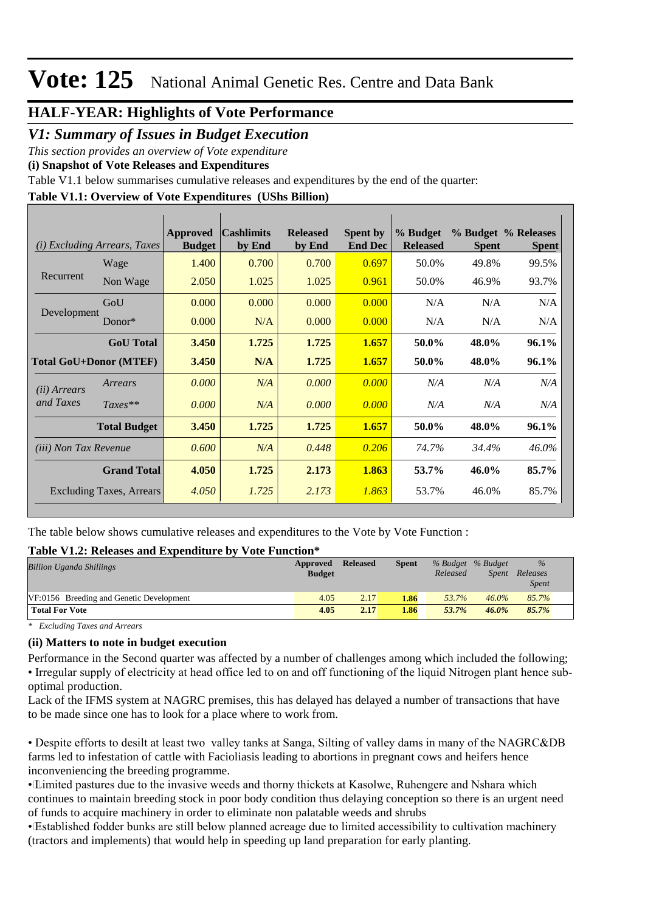### **HALF-YEAR: Highlights of Vote Performance**

*V1: Summary of Issues in Budget Execution*

*This section provides an overview of Vote expenditure* 

**(i) Snapshot of Vote Releases and Expenditures**

Table V1.1 below summarises cumulative releases and expenditures by the end of the quarter:

### **Table V1.1: Overview of Vote Expenditures (UShs Billion)**

| ( <i>i</i> ) Excluding Arrears, Taxes |                     | Approved<br><b>Budget</b> | <b>Cashlimits</b><br>by End | <b>Released</b><br>by End | <b>Spent by</b><br><b>End Dec</b> | % Budget<br><b>Released</b> | <b>Spent</b> | % Budget % Releases<br><b>Spent</b> |
|---------------------------------------|---------------------|---------------------------|-----------------------------|---------------------------|-----------------------------------|-----------------------------|--------------|-------------------------------------|
|                                       | Wage                | 1.400                     | 0.700                       | 0.700                     | 0.697                             | 50.0%                       | 49.8%        | 99.5%                               |
| Recurrent                             | Non Wage            | 2.050                     | 1.025                       | 1.025                     | 0.961                             | 50.0%                       | 46.9%        | 93.7%                               |
| Development                           | GoU                 | 0.000                     | 0.000                       | 0.000                     | 0.000                             | N/A                         | N/A          | N/A                                 |
|                                       | Donor $*$           | 0.000                     | N/A                         | 0.000                     | 0.000                             | N/A                         | N/A          | N/A                                 |
|                                       | <b>GoU</b> Total    | 3.450                     | 1.725                       | 1.725                     | 1.657                             | 50.0%                       | 48.0%        | 96.1%                               |
| <b>Total GoU+Donor (MTEF)</b>         |                     | 3.450                     | N/A                         | 1.725                     | 1.657                             | 50.0%                       | 48.0%        | 96.1%                               |
| ( <i>ii</i> ) Arrears                 | Arrears             | 0.000                     | N/A                         | 0.000                     | 0.000                             | N/A                         | N/A          | N/A                                 |
| and Taxes                             | $Taxes**$           | 0.000                     | N/A                         | 0.000                     | 0.000                             | N/A                         | N/A          | N/A                                 |
|                                       | <b>Total Budget</b> | 3.450                     | 1.725                       | 1.725                     | 1.657                             | 50.0%                       | 48.0%        | 96.1%                               |
| <i>(iii)</i> Non Tax Revenue          |                     | 0.600                     | N/A                         | 0.448                     | 0.206                             | 74.7%                       | 34.4%        | 46.0%                               |
| <b>Grand Total</b>                    |                     | 4.050                     | 1.725                       | 2.173                     | 1.863                             | 53.7%                       | 46.0%        | 85.7%                               |
| Excluding Taxes, Arrears              |                     | 4.050                     | 1.725                       | 2.173                     | 1.863                             | 53.7%                       | 46.0%        | 85.7%                               |

The table below shows cumulative releases and expenditures to the Vote by Vote Function :

#### **Table V1.2: Releases and Expenditure by Vote Function\***

| <b>Billion Uganda Shillings</b>          | Approved<br><b>Budget</b> | <b>Released</b> | Spent | % Budget % Budget<br>Released | Spent    | $\%$<br>Releases<br><i>Spent</i> |
|------------------------------------------|---------------------------|-----------------|-------|-------------------------------|----------|----------------------------------|
| VF:0156 Breeding and Genetic Development | 4.05                      | 2.17            | 1.86  | 53.7%                         | $46.0\%$ | 85.7%                            |
| <b>Total For Vote</b>                    | 4.05                      | 2.17            | 1.86  | 53.7%                         | $46.0\%$ | 85.7%                            |

*\* Excluding Taxes and Arrears*

#### **(ii) Matters to note in budget execution**

Performance in the Second quarter was affected by a number of challenges among which included the following; • Irregular supply of electricity at head office led to on and off functioning of the liquid Nitrogen plant hence suboptimal production.

Lack of the IFMS system at NAGRC premises, this has delayed has delayed a number of transactions that have to be made since one has to look for a place where to work from.

• Despite efforts to desilt at least two valley tanks at Sanga, Silting of valley dams in many of the NAGRC&DB farms led to infestation of cattle with Facioliasis leading to abortions in pregnant cows and heifers hence inconveniencing the breeding programme.

• Limited pastures due to the invasive weeds and thorny thickets at Kasolwe, Ruhengere and Nshara which continues to maintain breeding stock in poor body condition thus delaying conception so there is an urgent need of funds to acquire machinery in order to eliminate non palatable weeds and shrubs

• Established fodder bunks are still below planned acreage due to limited accessibility to cultivation machinery (tractors and implements) that would help in speeding up land preparation for early planting.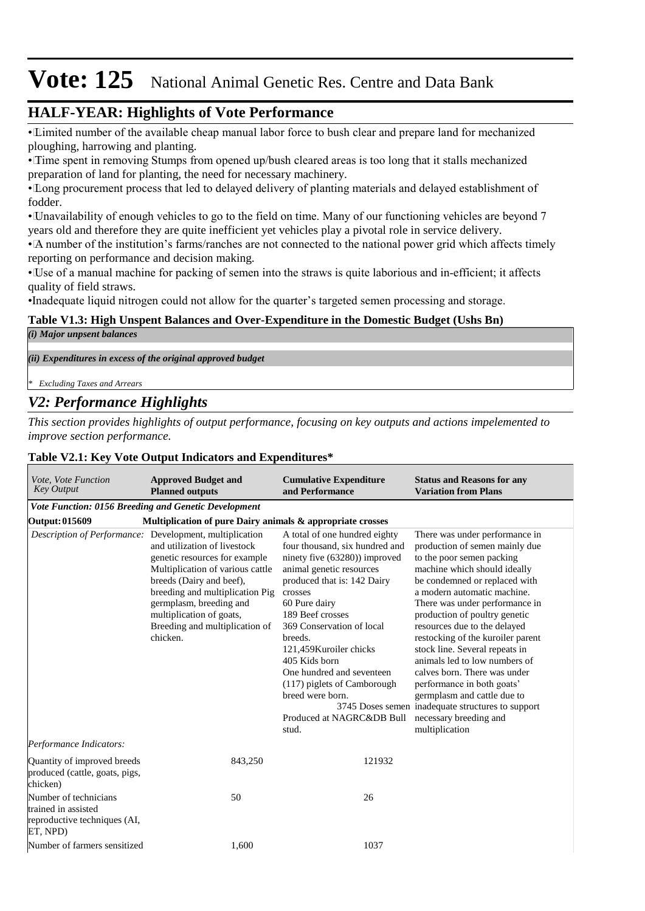## **HALF-YEAR: Highlights of Vote Performance**

• Limited number of the available cheap manual labor force to bush clear and prepare land for mechanized ploughing, harrowing and planting.

• Time spent in removing Stumps from opened up/bush cleared areas is too long that it stalls mechanized preparation of land for planting, the need for necessary machinery.

• Long procurement process that led to delayed delivery of planting materials and delayed establishment of fodder.

• Unavailability of enough vehicles to go to the field on time. Many of our functioning vehicles are beyond 7 years old and therefore they are quite inefficient yet vehicles play a pivotal role in service delivery.

• A number of the institution's farms/ranches are not connected to the national power grid which affects timely reporting on performance and decision making.

• Use of a manual machine for packing of semen into the straws is quite laborious and in-efficient; it affects quality of field straws.

•Inadequate liquid nitrogen could not allow for the quarter's targeted semen processing and storage.

#### **Table V1.3: High Unspent Balances and Over-Expenditure in the Domestic Budget (Ushs Bn)**

*(i) Major unpsent balances*

*(ii) Expenditures in excess of the original approved budget*

*\* Excluding Taxes and Arrears*

## *V2: Performance Highlights*

*This section provides highlights of output performance, focusing on key outputs and actions impelemented to improve section performance.*

#### **Table V2.1: Key Vote Output Indicators and Expenditures\***

| Vote, Vote Function<br><b>Key Output</b>                                                 | <b>Approved Budget and</b><br><b>Planned outputs</b>                                                                                                                                                                                                                                                                             | <b>Cumulative Expenditure</b><br>and Performance                                                                                                                                                                                                                                                                                                                                                                      | <b>Status and Reasons for any</b><br><b>Variation from Plans</b>                                                                                                                                                                                                                                                                                                                                                                                                                                                                                                                                       |
|------------------------------------------------------------------------------------------|----------------------------------------------------------------------------------------------------------------------------------------------------------------------------------------------------------------------------------------------------------------------------------------------------------------------------------|-----------------------------------------------------------------------------------------------------------------------------------------------------------------------------------------------------------------------------------------------------------------------------------------------------------------------------------------------------------------------------------------------------------------------|--------------------------------------------------------------------------------------------------------------------------------------------------------------------------------------------------------------------------------------------------------------------------------------------------------------------------------------------------------------------------------------------------------------------------------------------------------------------------------------------------------------------------------------------------------------------------------------------------------|
| Vote Function: 0156 Breeding and Genetic Development                                     |                                                                                                                                                                                                                                                                                                                                  |                                                                                                                                                                                                                                                                                                                                                                                                                       |                                                                                                                                                                                                                                                                                                                                                                                                                                                                                                                                                                                                        |
| Output: 015609                                                                           | Multiplication of pure Dairy animals & appropriate crosses                                                                                                                                                                                                                                                                       |                                                                                                                                                                                                                                                                                                                                                                                                                       |                                                                                                                                                                                                                                                                                                                                                                                                                                                                                                                                                                                                        |
|                                                                                          | Description of Performance: Development, multiplication<br>and utilization of livestock<br>genetic resources for example<br>Multiplication of various cattle<br>breeds (Dairy and beef),<br>breeding and multiplication Pig<br>germplasm, breeding and<br>multiplication of goats,<br>Breeding and multiplication of<br>chicken. | A total of one hundred eighty<br>four thousand, six hundred and<br>ninety five (63280)) improved<br>animal genetic resources<br>produced that is: 142 Dairy<br>crosses<br>60 Pure dairy<br>189 Beef crosses<br>369 Conservation of local<br>breeds.<br>121,459 Kuroiler chicks<br>405 Kids born<br>One hundred and seventeen<br>(117) piglets of Camborough<br>breed were born.<br>Produced at NAGRC&DB Bull<br>stud. | There was under performance in<br>production of semen mainly due<br>to the poor semen packing<br>machine which should ideally<br>be condemned or replaced with<br>a modern automatic machine.<br>There was under performance in<br>production of poultry genetic<br>resources due to the delayed<br>restocking of the kuroiler parent<br>stock line. Several repeats in<br>animals led to low numbers of<br>calves born. There was under<br>performance in both goats'<br>germplasm and cattle due to<br>3745 Doses semen inadequate structures to support<br>necessary breeding and<br>multiplication |
| Performance Indicators:                                                                  |                                                                                                                                                                                                                                                                                                                                  |                                                                                                                                                                                                                                                                                                                                                                                                                       |                                                                                                                                                                                                                                                                                                                                                                                                                                                                                                                                                                                                        |
| Quantity of improved breeds<br>produced (cattle, goats, pigs,<br>chicken)                | 843,250                                                                                                                                                                                                                                                                                                                          | 121932                                                                                                                                                                                                                                                                                                                                                                                                                |                                                                                                                                                                                                                                                                                                                                                                                                                                                                                                                                                                                                        |
| Number of technicians<br>trained in assisted<br>reproductive techniques (AI,<br>ET, NPD) | 50                                                                                                                                                                                                                                                                                                                               | 26                                                                                                                                                                                                                                                                                                                                                                                                                    |                                                                                                                                                                                                                                                                                                                                                                                                                                                                                                                                                                                                        |
| Number of farmers sensitized                                                             | 1,600                                                                                                                                                                                                                                                                                                                            | 1037                                                                                                                                                                                                                                                                                                                                                                                                                  |                                                                                                                                                                                                                                                                                                                                                                                                                                                                                                                                                                                                        |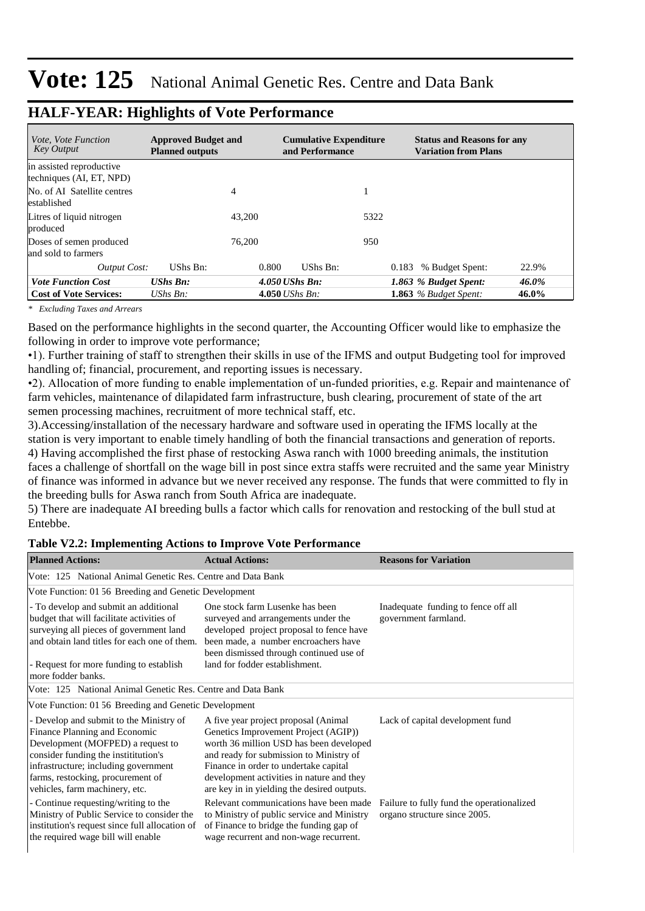| <i>Vote. Vote Function</i><br><b>Key Output</b>      | <b>Approved Budget and</b><br><b>Planned outputs</b> |        | <b>Cumulative Expenditure</b><br>and Performance |       | <b>Status and Reasons for any</b><br><b>Variation from Plans</b> |       |
|------------------------------------------------------|------------------------------------------------------|--------|--------------------------------------------------|-------|------------------------------------------------------------------|-------|
| in assisted reproductive<br>techniques (AI, ET, NPD) |                                                      |        |                                                  |       |                                                                  |       |
| No. of AI Satellite centres<br>established           |                                                      | 4      |                                                  | 1     |                                                                  |       |
| Litres of liquid nitrogen<br>produced                |                                                      | 43,200 |                                                  | 5322  |                                                                  |       |
| Doses of semen produced<br>and sold to farmers       |                                                      | 76,200 |                                                  | 950   |                                                                  |       |
| Output Cost:                                         | UShs Bn:                                             | 0.800  | UShs Bn:                                         | 0.183 | % Budget Spent:                                                  | 22.9% |
| <b>Vote Function Cost</b>                            | $UShs$ $Bn$ :                                        |        | $4.050$ UShs Bn:                                 |       | 1.863 % Budget Spent:                                            | 46.0% |
| <b>Cost of Vote Services:</b>                        | UShs $B_n$ :                                         |        | 4.050 <i>UShs Bn</i> :                           |       | 1.863 $%$ Budget Spent:                                          | 46.0% |

### **HALF-YEAR: Highlights of Vote Performance**

*\* Excluding Taxes and Arrears*

Based on the performance highlights in the second quarter, the Accounting Officer would like to emphasize the following in order to improve vote performance;

•1). Further training of staff to strengthen their skills in use of the IFMS and output Budgeting tool for improved handling of; financial, procurement, and reporting issues is necessary.

•2). Allocation of more funding to enable implementation of un-funded priorities, e.g. Repair and maintenance of farm vehicles, maintenance of dilapidated farm infrastructure, bush clearing, procurement of state of the art semen processing machines, recruitment of more technical staff, etc.

3).Accessing/installation of the necessary hardware and software used in operating the IFMS locally at the station is very important to enable timely handling of both the financial transactions and generation of reports. 4) Having accomplished the first phase of restocking Aswa ranch with 1000 breeding animals, the institution faces a challenge of shortfall on the wage bill in post since extra staffs were recruited and the same year Ministry of finance was informed in advance but we never received any response. The funds that were committed to fly in the breeding bulls for Aswa ranch from South Africa are inadequate.

5) There are inadequate AI breeding bulls a factor which calls for renovation and restocking of the bull stud at Entebbe.

#### **Table V2.2: Implementing Actions to Improve Vote Performance**

| <b>Planned Actions:</b>                                                                                                                                                                                                                                            | <b>Actual Actions:</b>                                                                                                                                                                                                                                                                                  | <b>Reasons for Variation</b>                                              |
|--------------------------------------------------------------------------------------------------------------------------------------------------------------------------------------------------------------------------------------------------------------------|---------------------------------------------------------------------------------------------------------------------------------------------------------------------------------------------------------------------------------------------------------------------------------------------------------|---------------------------------------------------------------------------|
| Vote: 125 National Animal Genetic Res. Centre and Data Bank                                                                                                                                                                                                        |                                                                                                                                                                                                                                                                                                         |                                                                           |
| Vote Function: 01 56 Breeding and Genetic Development                                                                                                                                                                                                              |                                                                                                                                                                                                                                                                                                         |                                                                           |
| - To develop and submit an additional<br>budget that will facilitate activities of<br>surveying all pieces of government land<br>and obtain land titles for each one of them.                                                                                      | One stock farm Lusenke has been<br>surveyed and arrangements under the<br>developed project proposal to fence have<br>been made, a number encroachers have<br>been dismissed through continued use of                                                                                                   | Inadequate funding to fence off all<br>government farmland.               |
| - Request for more funding to establish<br>more fodder banks.                                                                                                                                                                                                      | land for fodder establishment.                                                                                                                                                                                                                                                                          |                                                                           |
| Vote: 125 National Animal Genetic Res. Centre and Data Bank                                                                                                                                                                                                        |                                                                                                                                                                                                                                                                                                         |                                                                           |
| Vote Function: 01 56 Breeding and Genetic Development                                                                                                                                                                                                              |                                                                                                                                                                                                                                                                                                         |                                                                           |
| - Develop and submit to the Ministry of<br>Finance Planning and Economic<br>Development (MOFPED) a request to<br>consider funding the institution's<br>infrastructure; including government<br>farms, restocking, procurement of<br>vehicles, farm machinery, etc. | A five year project proposal (Animal<br>Genetics Improvement Project (AGIP))<br>worth 36 million USD has been developed<br>and ready for submission to Ministry of<br>Finance in order to undertake capital<br>development activities in nature and they<br>are key in in yielding the desired outputs. | Lack of capital development fund                                          |
| - Continue requesting/writing to the<br>Ministry of Public Service to consider the<br>institution's request since full allocation of<br>the required wage bill will enable                                                                                         | Relevant communications have been made<br>to Ministry of public service and Ministry<br>of Finance to bridge the funding gap of<br>wage recurrent and non-wage recurrent.                                                                                                                               | Failure to fully fund the operationalized<br>organo structure since 2005. |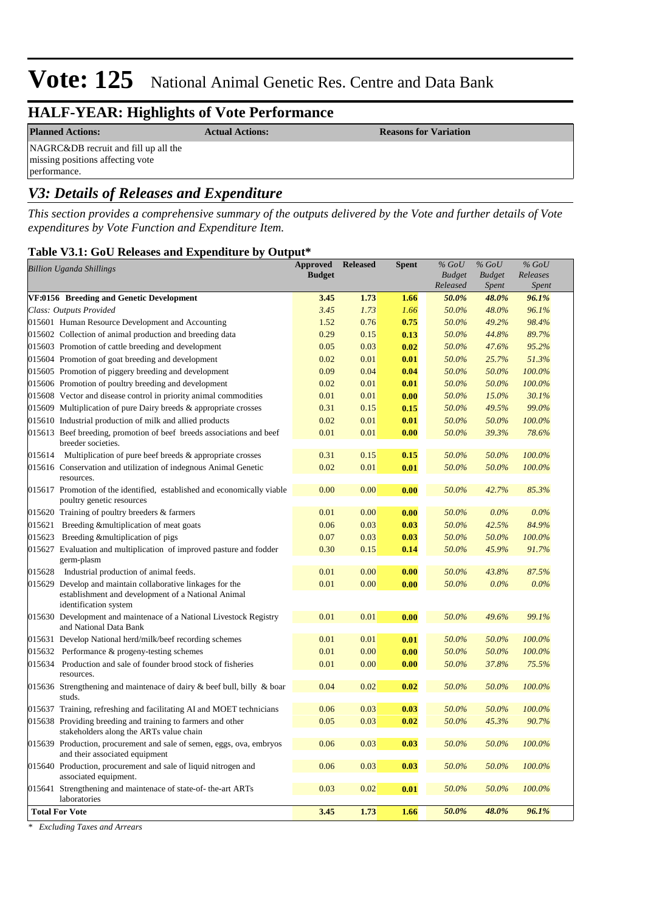# **HALF-YEAR: Highlights of Vote Performance**

**Planned Actions: Actual Actions:** *Actual Actions:* **<b>Reasons for Variation** 

NAGRC&DB recruit and fill up all the missing positions affecting vote performance.

# *V3: Details of Releases and Expenditure*

*This section provides a comprehensive summary of the outputs delivered by the Vote and further details of Vote expenditures by Vote Function and Expenditure Item.*

#### **Table V3.1: GoU Releases and Expenditure by Output\***

|        | <b>Billion Uganda Shillings</b>                                                                                                           | <b>Approved</b><br><b>Budget</b> | <b>Released</b> | Spent | $%$ GoU<br><b>Budget</b><br>Released | $%$ GoU<br><b>Budget</b><br>Spent | $%$ GoU<br>Releases<br>Spent |
|--------|-------------------------------------------------------------------------------------------------------------------------------------------|----------------------------------|-----------------|-------|--------------------------------------|-----------------------------------|------------------------------|
|        | VF:0156 Breeding and Genetic Development                                                                                                  | 3.45                             | 1.73            | 1.66  | 50.0%                                | 48.0%                             | 96.1%                        |
|        | Class: Outputs Provided                                                                                                                   | 3.45                             | 1.73            | 1.66  | 50.0%                                | 48.0%                             | 96.1%                        |
|        | 015601 Human Resource Development and Accounting                                                                                          | 1.52                             | 0.76            | 0.75  | 50.0%                                | 49.2%                             | 98.4%                        |
|        | 015602 Collection of animal production and breeding data                                                                                  | 0.29                             | 0.15            | 0.13  | 50.0%                                | 44.8%                             | 89.7%                        |
|        | 015603 Promotion of cattle breeding and development                                                                                       | 0.05                             | 0.03            | 0.02  | 50.0%                                | 47.6%                             | 95.2%                        |
|        | 015604 Promotion of goat breeding and development                                                                                         | 0.02                             | 0.01            | 0.01  | 50.0%                                | 25.7%                             | 51.3%                        |
|        | 015605 Promotion of piggery breeding and development                                                                                      | 0.09                             | 0.04            | 0.04  | 50.0%                                | 50.0%                             | 100.0%                       |
|        | 015606 Promotion of poultry breeding and development                                                                                      | 0.02                             | 0.01            | 0.01  | 50.0%                                | 50.0%                             | 100.0%                       |
|        | 015608 Vector and disease control in priority animal commodities                                                                          | 0.01                             | 0.01            | 0.00  | 50.0%                                | 15.0%                             | 30.1%                        |
|        | 015609 Multiplication of pure Dairy breeds & appropriate crosses                                                                          | 0.31                             | 0.15            | 0.15  | 50.0%                                | 49.5%                             | 99.0%                        |
|        | 015610 Industrial production of milk and allied products                                                                                  | 0.02                             | 0.01            | 0.01  | 50.0%                                | 50.0%                             | 100.0%                       |
|        | 015613 Beef breeding, promotion of beef breeds associations and beef<br>breeder societies.                                                | 0.01                             | 0.01            | 0.00  | 50.0%                                | 39.3%                             | 78.6%                        |
| 015614 | Multiplication of pure beef breeds & appropriate crosses                                                                                  | 0.31                             | 0.15            | 0.15  | 50.0%                                | 50.0%                             | 100.0%                       |
|        | 015616 Conservation and utilization of indegnous Animal Genetic<br>resources.                                                             | 0.02                             | 0.01            | 0.01  | 50.0%                                | 50.0%                             | 100.0%                       |
|        | 015617 Promotion of the identified, established and economically viable<br>poultry genetic resources                                      | 0.00                             | 0.00            | 0.00  | 50.0%                                | 42.7%                             | 85.3%                        |
|        | 015620 Training of poultry breeders & farmers                                                                                             | 0.01                             | 0.00            | 0.00  | 50.0%                                | $0.0\%$                           | $0.0\%$                      |
| 015621 | Breeding & multiplication of meat goats                                                                                                   | 0.06                             | 0.03            | 0.03  | 50.0%                                | 42.5%                             | 84.9%                        |
| 015623 | Breeding & multiplication of pigs                                                                                                         | 0.07                             | 0.03            | 0.03  | 50.0%                                | 50.0%                             | 100.0%                       |
|        | 015627 Evaluation and multiplication of improved pasture and fodder<br>germ-plasm                                                         | 0.30                             | 0.15            | 0.14  | 50.0%                                | 45.9%                             | 91.7%                        |
| 015628 | Industrial production of animal feeds.                                                                                                    | 0.01                             | 0.00            | 0.00  | 50.0%                                | 43.8%                             | 87.5%                        |
|        | 015629 Develop and maintain collaborative linkages for the<br>establishment and development of a National Animal<br>identification system | 0.01                             | 0.00            | 0.00  | 50.0%                                | 0.0%                              | 0.0%                         |
|        | 015630 Development and maintenace of a National Livestock Registry<br>and National Data Bank                                              | 0.01                             | 0.01            | 0.00  | 50.0%                                | 49.6%                             | 99.1%                        |
|        | 015631 Develop National herd/milk/beef recording schemes                                                                                  | 0.01                             | 0.01            | 0.01  | 50.0%                                | 50.0%                             | 100.0%                       |
| 015632 | Performance & progeny-testing schemes                                                                                                     | 0.01                             | 0.00            | 0.00  | 50.0%                                | 50.0%                             | 100.0%                       |
| 015634 | Production and sale of founder brood stock of fisheries<br>resources.                                                                     | 0.01                             | 0.00            | 0.00  | 50.0%                                | 37.8%                             | 75.5%                        |
|        | 015636 Strengthening and maintenace of dairy $\&$ beef bull, billy $\&$ boar<br>studs.                                                    | 0.04                             | 0.02            | 0.02  | 50.0%                                | 50.0%                             | 100.0%                       |
|        | 015637 Training, refreshing and facilitating AI and MOET technicians                                                                      | 0.06                             | 0.03            | 0.03  | 50.0%                                | 50.0%                             | 100.0%                       |
|        | 015638 Providing breeding and training to farmers and other<br>stakeholders along the ARTs value chain                                    | 0.05                             | 0.03            | 0.02  | 50.0%                                | 45.3%                             | 90.7%                        |
|        | 015639 Production, procurement and sale of semen, eggs, ova, embryos<br>and their associated equipment                                    | 0.06                             | 0.03            | 0.03  | 50.0%                                | 50.0%                             | 100.0%                       |
|        | 015640 Production, procurement and sale of liquid nitrogen and<br>associated equipment.                                                   | 0.06                             | 0.03            | 0.03  | 50.0%                                | 50.0%                             | 100.0%                       |
|        | 015641 Strengthening and maintenace of state-of-the-art ARTs<br>laboratories                                                              | 0.03                             | 0.02            | 0.01  | 50.0%                                | 50.0%                             | 100.0%                       |
|        | <b>Total For Vote</b>                                                                                                                     | 3.45                             | 1.73            | 1.66  | 50.0%                                | 48.0%                             | 96.1%                        |

*\* Excluding Taxes and Arrears*